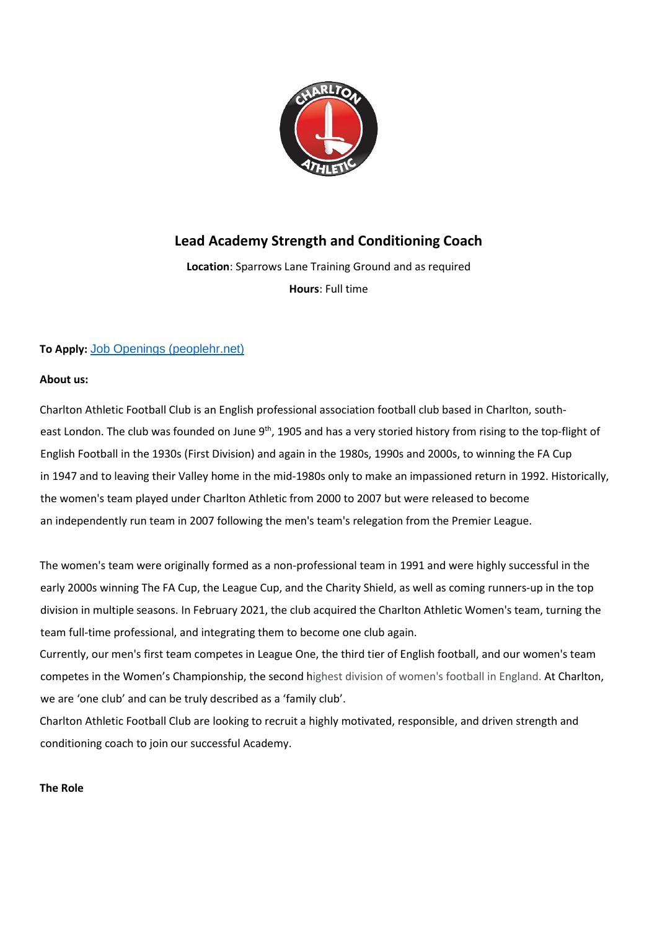

# **Lead Academy Strength and Conditioning Coach**

**Location**: Sparrows Lane Training Ground and as required **Hours**: Full time

# **To Apply:** [Job Openings \(peoplehr.net\)](https://cafc.peoplehr.net/Pages/JobBoard/Opening.aspx?v=3d6e58fd-9456-4ebd-b1c0-834161e815e0)

### **About us:**

Charlton Athletic Football Club is an English professional association football club based in Charlton, southeast London. The club was founded on June 9<sup>th</sup>, 1905 and has a very storied history from rising to the top-flight of English Football in the 1930s (First Division) and again in the 1980s, 1990s and 2000s, to winning the FA Cup in 1947 and to leaving their Valley home in the mid-1980s only to make an impassioned return in 1992. Historically, the women's team played under Charlton Athletic from 2000 to 2007 but were released to become an independently run team in 2007 following the men's team's relegation from the Premier League.

The women's team were originally formed as a non-professional team in 1991 and were highly successful in the early 2000s winning The FA Cup, the League Cup, and the Charity Shield, as well as coming runners-up in the top division in multiple seasons. In February 2021, the club acquired the Charlton Athletic Women's team, turning the team full-time professional, and integrating them to become one club again.

Currently, our men's first team competes in League One, the third tier of English football, and our women's team competes in the Women's Championship, the second highest division of women's football in England. At Charlton, we are 'one club' and can be truly described as a 'family club'.

Charlton Athletic Football Club are looking to recruit a highly motivated, responsible, and driven strength and conditioning coach to join our successful Academy.

## **The Role**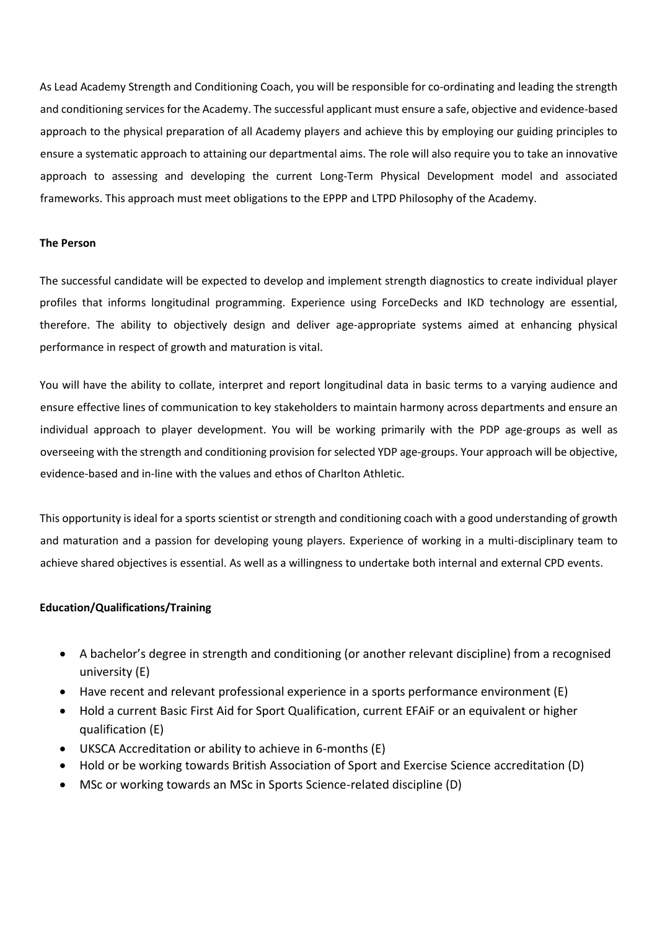As Lead Academy Strength and Conditioning Coach, you will be responsible for co-ordinating and leading the strength and conditioning services for the Academy. The successful applicant must ensure a safe, objective and evidence-based approach to the physical preparation of all Academy players and achieve this by employing our guiding principles to ensure a systematic approach to attaining our departmental aims. The role will also require you to take an innovative approach to assessing and developing the current Long-Term Physical Development model and associated frameworks. This approach must meet obligations to the EPPP and LTPD Philosophy of the Academy.

#### **The Person**

The successful candidate will be expected to develop and implement strength diagnostics to create individual player profiles that informs longitudinal programming. Experience using ForceDecks and IKD technology are essential, therefore. The ability to objectively design and deliver age-appropriate systems aimed at enhancing physical performance in respect of growth and maturation is vital.

You will have the ability to collate, interpret and report longitudinal data in basic terms to a varying audience and ensure effective lines of communication to key stakeholders to maintain harmony across departments and ensure an individual approach to player development. You will be working primarily with the PDP age-groups as well as overseeing with the strength and conditioning provision for selected YDP age-groups. Your approach will be objective, evidence-based and in-line with the values and ethos of Charlton Athletic.

This opportunity is ideal for a sports scientist or strength and conditioning coach with a good understanding of growth and maturation and a passion for developing young players. Experience of working in a multi-disciplinary team to achieve shared objectives is essential. As well as a willingness to undertake both internal and external CPD events.

#### **Education/Qualifications/Training**

- A bachelor's degree in strength and conditioning (or another relevant discipline) from a recognised university (E)
- Have recent and relevant professional experience in a sports performance environment (E)
- Hold a current Basic First Aid for Sport Qualification, current EFAiF or an equivalent or higher qualification (E)
- UKSCA Accreditation or ability to achieve in 6-months (E)
- Hold or be working towards British Association of Sport and Exercise Science accreditation (D)
- MSc or working towards an MSc in Sports Science-related discipline (D)